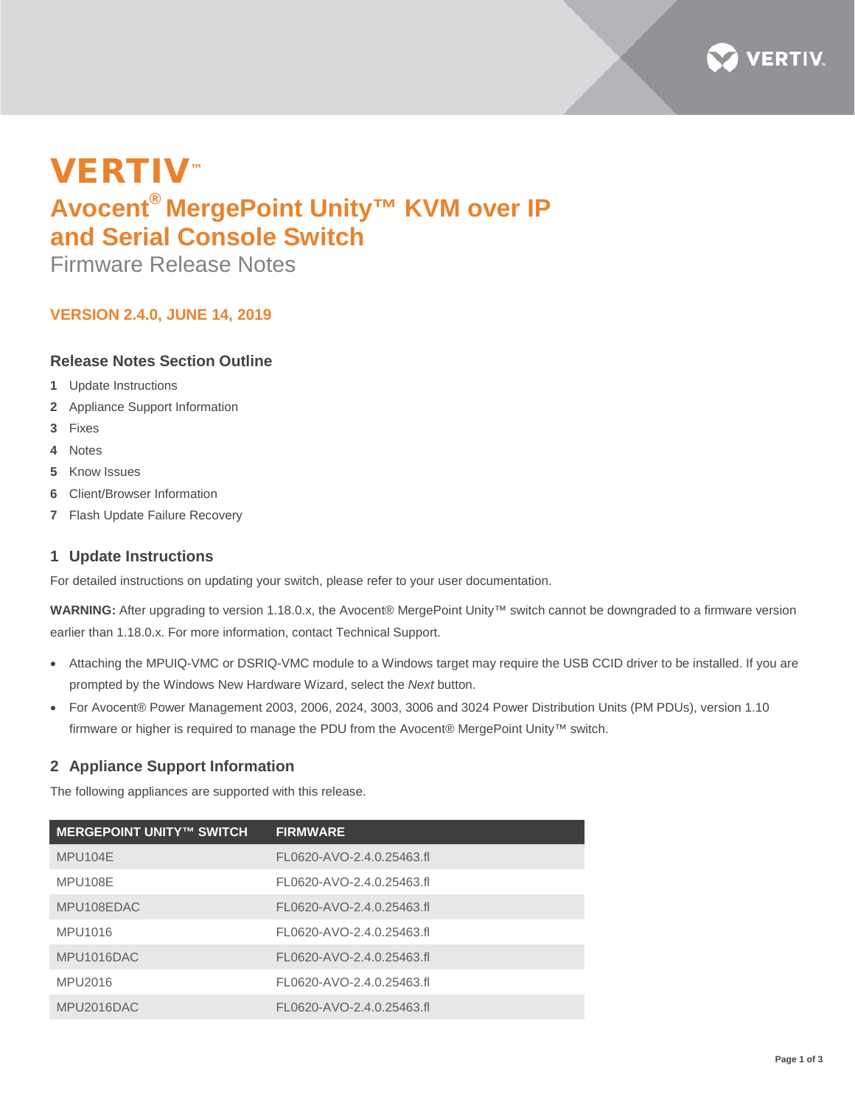

# VERTIV™ **Avocent® MergePoint Unity™ KVM over IP and Serial Console Switch**

Firmware Release Notes

## **VERSION 2.4.0, JUNE 14, 2019**

## **Release Notes Section Outline**

- **1** Update Instructions
- **2** Appliance Support Information
- **3** Fixes
- **4** Notes
- **5** Know Issues
- **6** Client/Browser Information
- **7** Flash Update Failure Recovery

## **1 Update Instructions**

For detailed instructions on updating your switch, please refer to your user documentation.

**WARNING:** After upgrading to version 1.18.0.x, the Avocent® MergePoint Unity™ switch cannot be downgraded to a firmware version earlier than 1.18.0.x. For more information, contact Technical Support.

- Attaching the MPUIQ-VMC or DSRIQ-VMC module to a Windows target may require the USB CCID driver to be installed. If you are prompted by the Windows New Hardware Wizard, select the *Next* button.
- For Avocent® Power Management 2003, 2006, 2024, 3003, 3006 and 3024 Power Distribution Units (PM PDUs), version 1.10 firmware or higher is required to manage the PDU from the Avocent® MergePoint Unity™ switch.

## **2 Appliance Support Information**

The following appliances are supported with this release.

| <b>MERGEPOINT UNITY™ SWITCH</b> | <b>FIRMWARE</b>           |
|---------------------------------|---------------------------|
| MPU104E                         | FL0620-AVO-2.4.0.25463.fl |
| MPU108E                         | FL0620-AVO-2.4.0.25463.fl |
| MPU108EDAC                      | FL0620-AVO-2.4.0.25463.fl |
| MPU1016                         | FL0620-AVO-2.4.0.25463.fl |
| MPU1016DAC                      | FL0620-AVO-2.4.0.25463.fl |
| MPU2016                         | FL0620-AVO-2.4.0.25463.fl |
| MPU2016DAC                      | FL0620-AVO-2.4.0.25463.fl |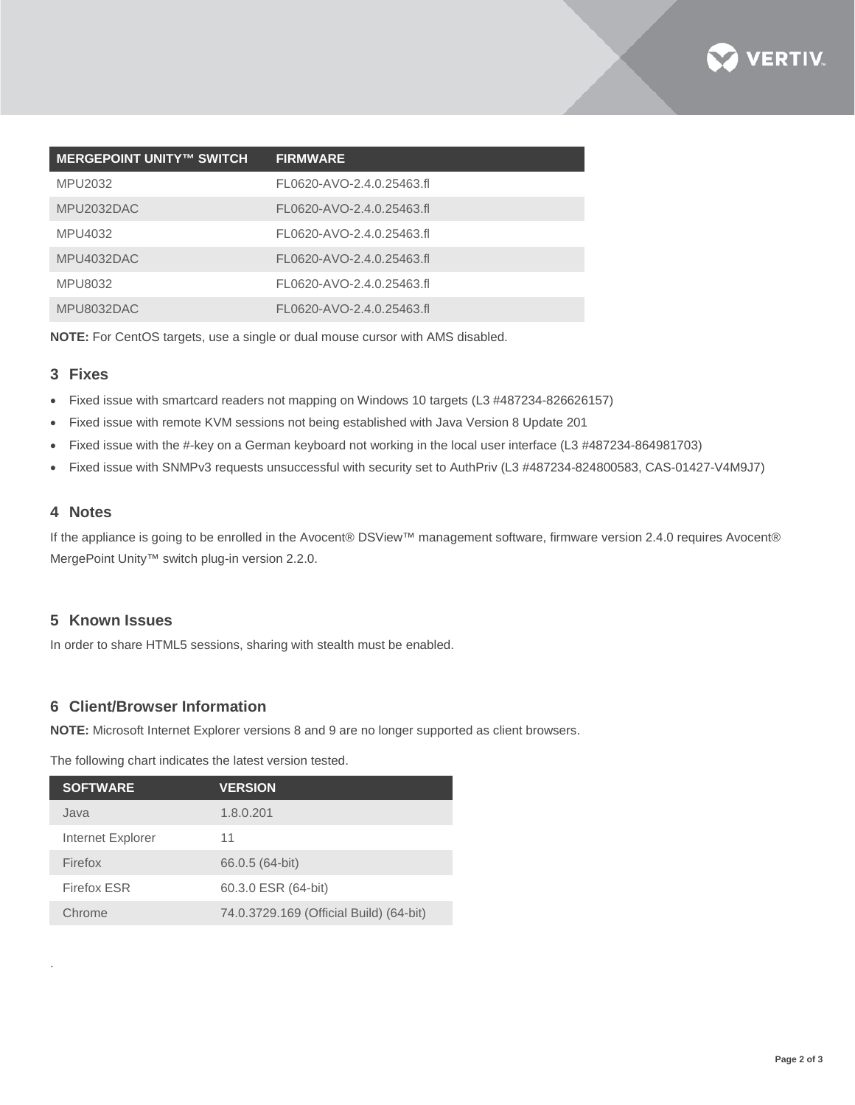

| <b>MERGEPOINT UNITY™ SWITCH</b> | <b>FIRMWARE</b>           |
|---------------------------------|---------------------------|
| MPU2032                         | FL0620-AVO-2.4.0.25463.fl |
| MPU2032DAC                      | FL0620-AVO-2.4.0.25463.fl |
| MPU4032                         | FL0620-AVO-2.4.0.25463.fl |
| MPU4032DAC                      | FL0620-AVO-2.4.0.25463.fl |
| MPU8032                         | FL0620-AVO-2.4.0.25463.fl |
| MPU8032DAC                      | FL0620-AVO-2.4.0.25463.fl |

**NOTE:** For CentOS targets, use a single or dual mouse cursor with AMS disabled.

#### **3 Fixes**

- Fixed issue with smartcard readers not mapping on Windows 10 targets (L3 #487234-826626157)
- Fixed issue with remote KVM sessions not being established with Java Version 8 Update 201
- Fixed issue with the #-key on a German keyboard not working in the local user interface (L3 #487234-864981703)
- Fixed issue with SNMPv3 requests unsuccessful with security set to AuthPriv (L3 #487234-824800583, CAS-01427-V4M9J7)

#### **4 Notes**

.

If the appliance is going to be enrolled in the Avocent® DSView™ management software, firmware version 2.4.0 requires Avocent® MergePoint Unity™ switch plug-in version 2.2.0.

#### **5 Known Issues**

In order to share HTML5 sessions, sharing with stealth must be enabled.

## **6 Client/Browser Information**

**NOTE:** Microsoft Internet Explorer versions 8 and 9 are no longer supported as client browsers.

The following chart indicates the latest version tested.

| <b>SOFTWARE</b>    | <b>VERSION</b>                          |
|--------------------|-----------------------------------------|
| Java               | 1.8.0.201                               |
| Internet Explorer  | 11                                      |
| Firefox            | 66.0.5 (64-bit)                         |
| <b>Firefox ESR</b> | 60.3.0 ESR (64-bit)                     |
| Chrome             | 74.0.3729.169 (Official Build) (64-bit) |